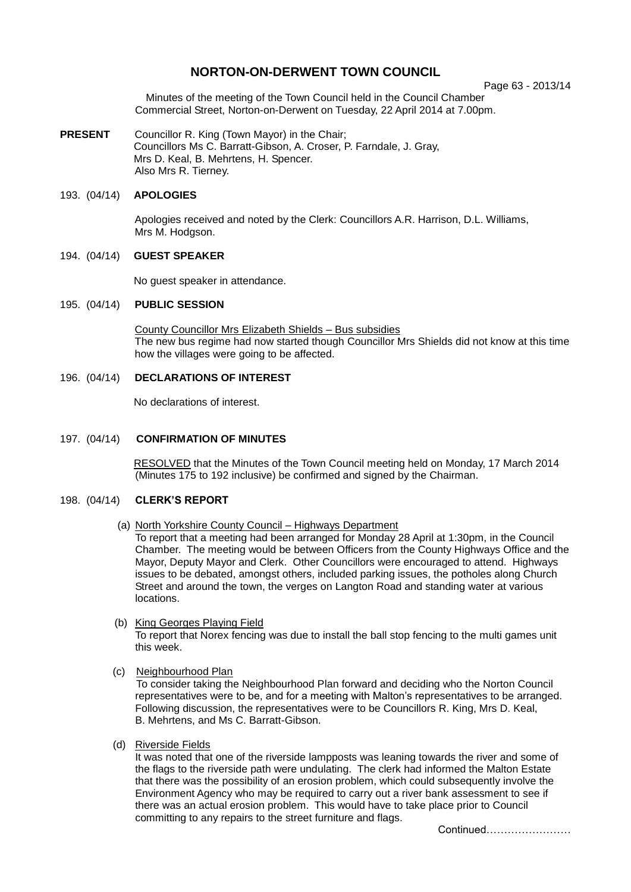# **NORTON-ON-DERWENT TOWN COUNCIL**

Page 63 - 2013/14

Minutes of the meeting of the Town Council held in the Council Chamber Commercial Street, Norton-on-Derwent on Tuesday, 22 April 2014 at 7.00pm.

**PRESENT** Councillor R. King (Town Mayor) in the Chair; Councillors Ms C. Barratt-Gibson, A. Croser, P. Farndale, J. Gray, Mrs D. Keal, B. Mehrtens, H. Spencer. Also Mrs R. Tierney.

# 193. (04/14) **APOLOGIES**

Apologies received and noted by the Clerk: Councillors A.R. Harrison, D.L. Williams, Mrs M. Hodgson.

# 194. (04/14) **GUEST SPEAKER**

No guest speaker in attendance.

# 195. (04/14) **PUBLIC SESSION**

County Councillor Mrs Elizabeth Shields – Bus subsidies The new bus regime had now started though Councillor Mrs Shields did not know at this time how the villages were going to be affected.

# 196. (04/14) **DECLARATIONS OF INTEREST**

No declarations of interest.

# 197. (04/14) **CONFIRMATION OF MINUTES**

RESOLVED that the Minutes of the Town Council meeting held on Monday, 17 March 2014 (Minutes 175 to 192 inclusive) be confirmed and signed by the Chairman.

# 198. (04/14) **CLERK'S REPORT**

(a) North Yorkshire County Council – Highways Department

To report that a meeting had been arranged for Monday 28 April at 1:30pm, in the Council Chamber. The meeting would be between Officers from the County Highways Office and the Mayor, Deputy Mayor and Clerk. Other Councillors were encouraged to attend. Highways issues to be debated, amongst others, included parking issues, the potholes along Church Street and around the town, the verges on Langton Road and standing water at various locations.

- (b) King Georges Playing Field To report that Norex fencing was due to install the ball stop fencing to the multi games unit this week.
- (c) Neighbourhood Plan

To consider taking the Neighbourhood Plan forward and deciding who the Norton Council representatives were to be, and for a meeting with Malton's representatives to be arranged. Following discussion, the representatives were to be Councillors R. King, Mrs D. Keal, B. Mehrtens, and Ms C. Barratt-Gibson.

(d) Riverside Fields

It was noted that one of the riverside lampposts was leaning towards the river and some of the flags to the riverside path were undulating. The clerk had informed the Malton Estate that there was the possibility of an erosion problem, which could subsequently involve the Environment Agency who may be required to carry out a river bank assessment to see if there was an actual erosion problem. This would have to take place prior to Council committing to any repairs to the street furniture and flags.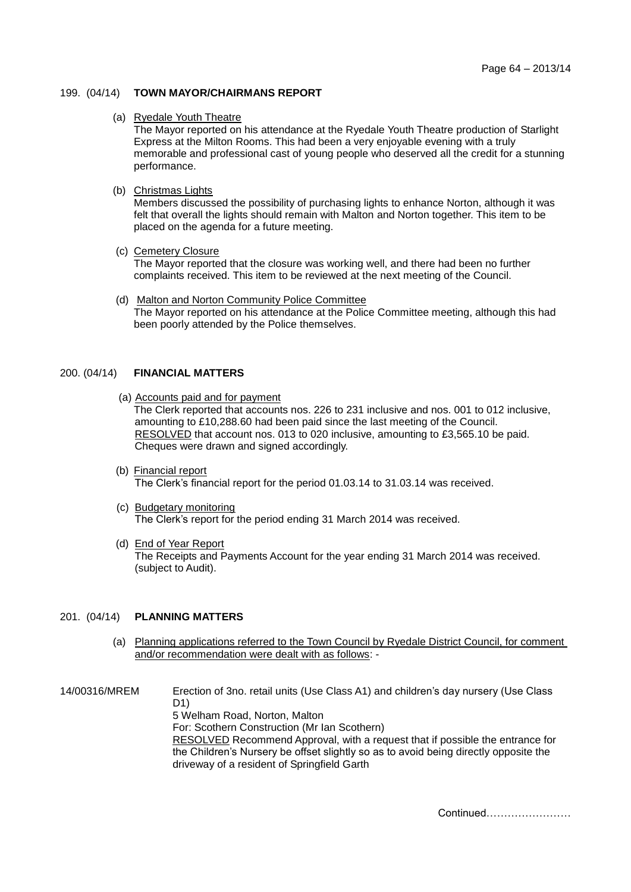# 199. (04/14) **TOWN MAYOR/CHAIRMANS REPORT**

#### (a) Ryedale Youth Theatre

The Mayor reported on his attendance at the Ryedale Youth Theatre production of Starlight Express at the Milton Rooms. This had been a very enjoyable evening with a truly memorable and professional cast of young people who deserved all the credit for a stunning performance.

# (b) Christmas Lights

Members discussed the possibility of purchasing lights to enhance Norton, although it was felt that overall the lights should remain with Malton and Norton together. This item to be placed on the agenda for a future meeting.

(c) Cemetery Closure

The Mayor reported that the closure was working well, and there had been no further complaints received. This item to be reviewed at the next meeting of the Council.

 (d) Malton and Norton Community Police Committee The Mayor reported on his attendance at the Police Committee meeting, although this had been poorly attended by the Police themselves.

#### 200. (04/14) **FINANCIAL MATTERS**

(a) Accounts paid and for payment

The Clerk reported that accounts nos. 226 to 231 inclusive and nos. 001 to 012 inclusive, amounting to £10,288.60 had been paid since the last meeting of the Council. RESOLVED that account nos. 013 to 020 inclusive, amounting to £3,565.10 be paid. Cheques were drawn and signed accordingly.

- (b) Financial report The Clerk's financial report for the period 01.03.14 to 31.03.14 was received.
- (c) Budgetary monitoring The Clerk's report for the period ending 31 March 2014 was received.
- (d) End of Year Report The Receipts and Payments Account for the year ending 31 March 2014 was received. (subject to Audit).

# 201. (04/14) **PLANNING MATTERS**

 (a) Planning applications referred to the Town Council by Ryedale District Council, for comment and/or recommendation were dealt with as follows: -

14/00316/MREM Erection of 3no. retail units (Use Class A1) and children's day nursery (Use Class D1) 5 Welham Road, Norton, Malton For: Scothern Construction (Mr Ian Scothern) RESOLVED Recommend Approval, with a request that if possible the entrance for the Children's Nursery be offset slightly so as to avoid being directly opposite the driveway of a resident of Springfield Garth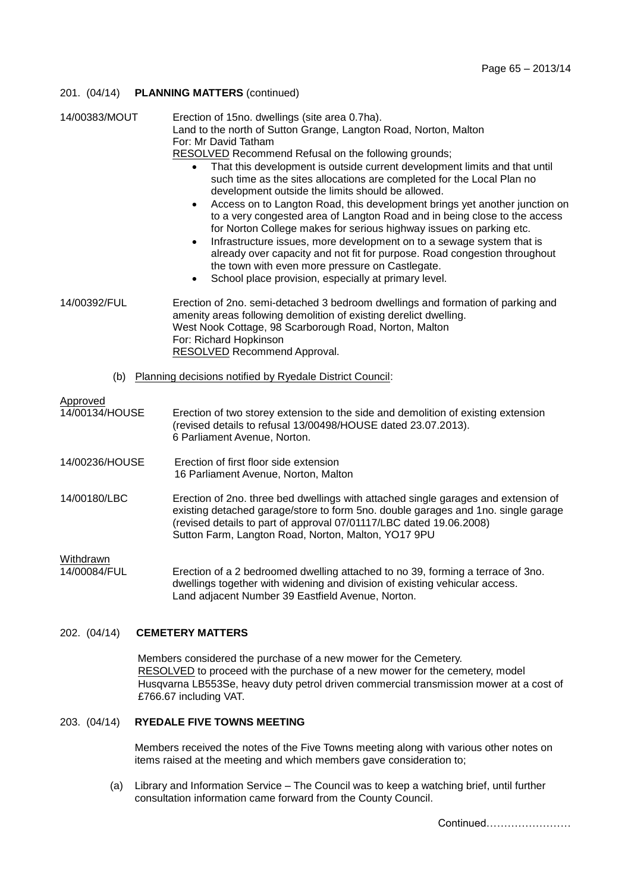# 201. (04/14) **PLANNING MATTERS** (continued)

| 14/00383/MOUT                                                   | Erection of 15no. dwellings (site area 0.7ha).<br>Land to the north of Sutton Grange, Langton Road, Norton, Malton<br>For: Mr David Tatham<br><b>RESOLVED</b> Recommend Refusal on the following grounds;<br>That this development is outside current development limits and that until<br>$\bullet$<br>such time as the sites allocations are completed for the Local Plan no<br>development outside the limits should be allowed.<br>Access on to Langton Road, this development brings yet another junction on<br>$\bullet$<br>to a very congested area of Langton Road and in being close to the access<br>for Norton College makes for serious highway issues on parking etc.<br>Infrastructure issues, more development on to a sewage system that is<br>$\bullet$<br>already over capacity and not fit for purpose. Road congestion throughout<br>the town with even more pressure on Castlegate.<br>School place provision, especially at primary level. |
|-----------------------------------------------------------------|------------------------------------------------------------------------------------------------------------------------------------------------------------------------------------------------------------------------------------------------------------------------------------------------------------------------------------------------------------------------------------------------------------------------------------------------------------------------------------------------------------------------------------------------------------------------------------------------------------------------------------------------------------------------------------------------------------------------------------------------------------------------------------------------------------------------------------------------------------------------------------------------------------------------------------------------------------------|
| 14/00392/FUL                                                    | Erection of 2no. semi-detached 3 bedroom dwellings and formation of parking and<br>amenity areas following demolition of existing derelict dwelling.<br>West Nook Cottage, 98 Scarborough Road, Norton, Malton<br>For: Richard Hopkinson<br><b>RESOLVED Recommend Approval.</b>                                                                                                                                                                                                                                                                                                                                                                                                                                                                                                                                                                                                                                                                                  |
| Planning decisions notified by Ryedale District Council:<br>(b) |                                                                                                                                                                                                                                                                                                                                                                                                                                                                                                                                                                                                                                                                                                                                                                                                                                                                                                                                                                  |
| Approved<br>14/00134/HOUSE                                      | Erection of two storey extension to the side and demolition of existing extension<br>(revised details to refusal 13/00498/HOUSE dated 23.07.2013).<br>6 Parliament Avenue, Norton.                                                                                                                                                                                                                                                                                                                                                                                                                                                                                                                                                                                                                                                                                                                                                                               |
| 14/00236/HOUSE                                                  | Erection of first floor side extension<br>16 Parliament Avenue, Norton, Malton                                                                                                                                                                                                                                                                                                                                                                                                                                                                                                                                                                                                                                                                                                                                                                                                                                                                                   |
| 14/00180/LBC                                                    | Erection of 2no. three bed dwellings with attached single garages and extension of<br>existing detached garage/store to form 5no. double garages and 1no. single garage<br>(revised details to part of approval 07/01117/LBC dated 19.06.2008)<br>Sutton Farm, Langton Road, Norton, Malton, YO17 9PU                                                                                                                                                                                                                                                                                                                                                                                                                                                                                                                                                                                                                                                            |
| Withdrawn<br>14/00084/FUL                                       | Erection of a 2 bedroomed dwelling attached to no 39, forming a terrace of 3no.<br>dwellings together with widening and division of existing vehicular access.<br>Land adjacent Number 39 Eastfield Avenue, Norton.                                                                                                                                                                                                                                                                                                                                                                                                                                                                                                                                                                                                                                                                                                                                              |

# 202. (04/14) **CEMETERY MATTERS**

Members considered the purchase of a new mower for the Cemetery. RESOLVED to proceed with the purchase of a new mower for the cemetery, model Husqvarna LB553Se, heavy duty petrol driven commercial transmission mower at a cost of £766.67 including VAT.

#### 203. (04/14) **RYEDALE FIVE TOWNS MEETING**

Members received the notes of the Five Towns meeting along with various other notes on items raised at the meeting and which members gave consideration to;

(a) Library and Information Service – The Council was to keep a watching brief, until further consultation information came forward from the County Council.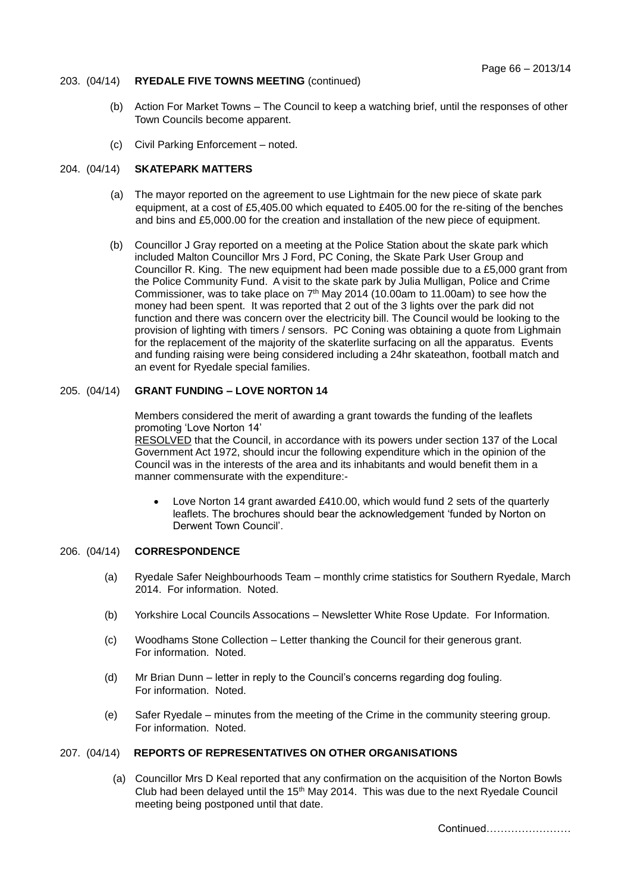# 203. (04/14) **RYEDALE FIVE TOWNS MEETING** (continued)

- (b) Action For Market Towns The Council to keep a watching brief, until the responses of other Town Councils become apparent.
- (c) Civil Parking Enforcement noted.

# 204. (04/14) **SKATEPARK MATTERS**

- (a) The mayor reported on the agreement to use Lightmain for the new piece of skate park equipment, at a cost of £5,405.00 which equated to £405.00 for the re-siting of the benches and bins and £5,000.00 for the creation and installation of the new piece of equipment.
- (b) Councillor J Gray reported on a meeting at the Police Station about the skate park which included Malton Councillor Mrs J Ford, PC Coning, the Skate Park User Group and Councillor R. King. The new equipment had been made possible due to a £5,000 grant from the Police Community Fund. A visit to the skate park by Julia Mulligan, Police and Crime Commissioner, was to take place on  $7<sup>th</sup>$  May 2014 (10.00am to 11.00am) to see how the money had been spent. It was reported that 2 out of the 3 lights over the park did not function and there was concern over the electricity bill. The Council would be looking to the provision of lighting with timers / sensors. PC Coning was obtaining a quote from Lighmain for the replacement of the majority of the skaterlite surfacing on all the apparatus. Events and funding raising were being considered including a 24hr skateathon, football match and an event for Ryedale special families.

# 205. (04/14) **GRANT FUNDING – LOVE NORTON 14**

Members considered the merit of awarding a grant towards the funding of the leaflets promoting 'Love Norton 14'

RESOLVED that the Council, in accordance with its powers under section 137 of the Local Government Act 1972, should incur the following expenditure which in the opinion of the Council was in the interests of the area and its inhabitants and would benefit them in a manner commensurate with the expenditure:-

 Love Norton 14 grant awarded £410.00, which would fund 2 sets of the quarterly leaflets. The brochures should bear the acknowledgement 'funded by Norton on Derwent Town Council'.

# 206. (04/14) **CORRESPONDENCE**

- (a) Ryedale Safer Neighbourhoods Team monthly crime statistics for Southern Ryedale, March 2014. For information. Noted.
- (b) Yorkshire Local Councils Assocations Newsletter White Rose Update. For Information.
- (c) Woodhams Stone Collection Letter thanking the Council for their generous grant. For information. Noted.
- (d) Mr Brian Dunn letter in reply to the Council's concerns regarding dog fouling. For information. Noted.
- (e) Safer Ryedale minutes from the meeting of the Crime in the community steering group. For information. Noted.

# 207. (04/14) **REPORTS OF REPRESENTATIVES ON OTHER ORGANISATIONS**

 (a) Councillor Mrs D Keal reported that any confirmation on the acquisition of the Norton Bowls Club had been delayed until the  $15<sup>th</sup>$  May 2014. This was due to the next Ryedale Council meeting being postponed until that date.